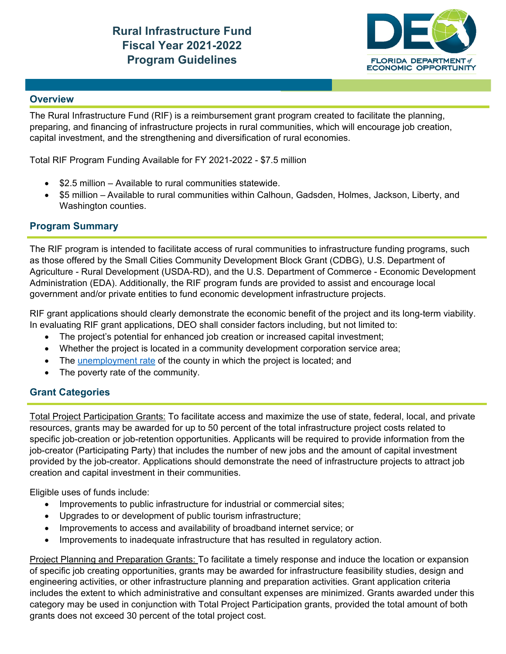

### **Overview**

The Rural Infrastructure Fund (RIF) is a reimbursement grant program created to facilitate the planning, preparing, and financing of infrastructure projects in rural communities, which will encourage job creation, capital investment, and the strengthening and diversification of rural economies.

Total RIF Program Funding Available for FY 2021-2022 - \$7.5 million

- \$2.5 million Available to rural communities statewide.
- \$5 million Available to rural communities within Calhoun, Gadsden, Holmes, Jackson, Liberty, and Washington counties.

### **Program Summary**

The RIF program is intended to facilitate access of rural communities to infrastructure funding programs, such as those offered by the Small Cities Community Development Block Grant (CDBG), U.S. Department of Agriculture - Rural Development (USDA-RD), and the U.S. Department of Commerce - Economic Development Administration (EDA). Additionally, the RIF program funds are provided to assist and encourage local government and/or private entities to fund economic development infrastructure projects.

RIF grant applications should clearly demonstrate the economic benefit of the project and its long-term viability. In evaluating RIF grant applications, DEO shall consider factors including, but not limited to:

- The project's potential for enhanced job creation or increased capital investment;
- Whether the project is located in a community development corporation service area;
- The unemployment rate of the county in which the project is located; and
- The poverty rate of the community.

# **Grant Categories**

Total Project Participation Grants: To facilitate access and maximize the use of state, federal, local, and private resources, grants may be awarded for up to 50 percent of the total infrastructure project costs related to specific job-creation or job-retention opportunities. Applicants will be required to provide information from the job-creator (Participating Party) that includes the number of new jobs and the amount of capital investment provided by the job-creator. Applications should demonstrate the need of infrastructure projects to attract job creation and capital investment in their communities.

Eligible uses of funds include:

- Improvements to public infrastructure for industrial or commercial sites;
- Upgrades to or development of public tourism infrastructure;
- Improvements to access and availability of broadband internet service; or
- Improvements to inadequate infrastructure that has resulted in regulatory action.

Project Planning and Preparation Grants: To facilitate a timely response and induce the location or expansion of specific job creating opportunities, grants may be awarded for infrastructure feasibility studies, design and engineering activities, or other infrastructure planning and preparation activities. Grant application criteria includes the extent to which administrative and consultant expenses are minimized. Grants awarded under this category may be used in conjunction with Total Project Participation grants, provided the total amount of both grants does not exceed 30 percent of the total project cost.